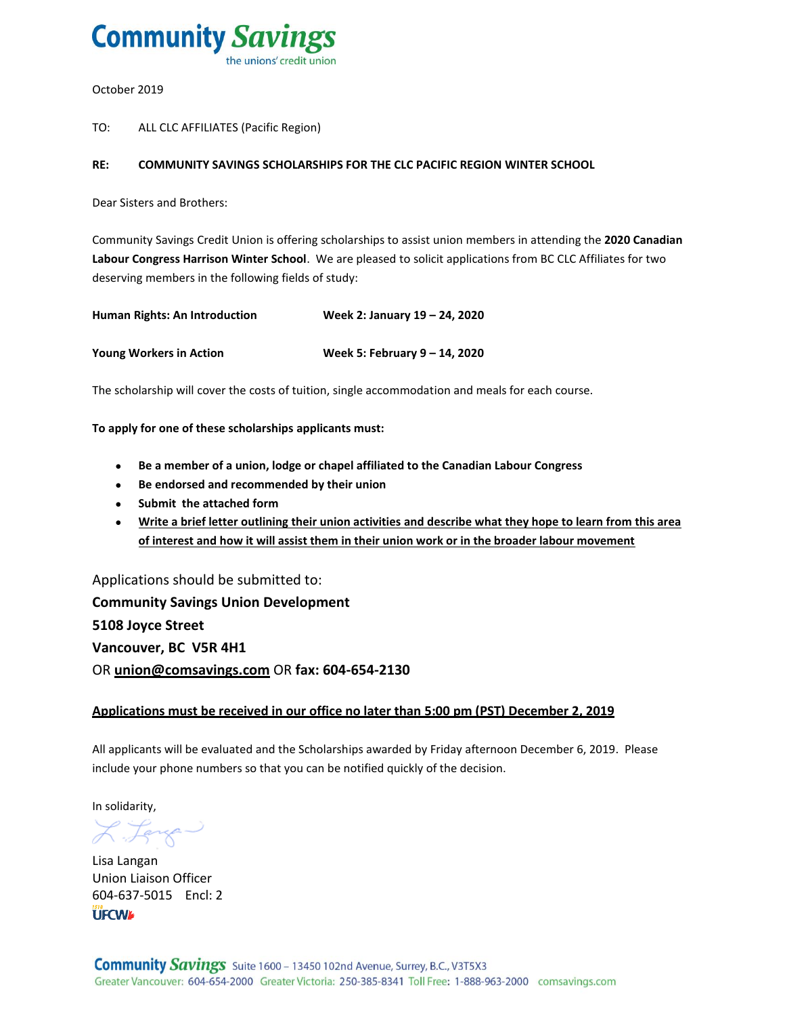

October 2019

TO: ALL CLC AFFILIATES (Pacific Region)

#### **RE: COMMUNITY SAVINGS SCHOLARSHIPS FOR THE CLC PACIFIC REGION WINTER SCHOOL**

Dear Sisters and Brothers:

Community Savings Credit Union is offering scholarships to assist union members in attending the **2020 Canadian Labour Congress Harrison Winter School**. We are pleased to solicit applications from BC CLC Affiliates for two deserving members in the following fields of study:

| <b>Human Rights: An Introduction</b> | Week 2: January 19 – 24, 2020 |
|--------------------------------------|-------------------------------|
| <b>Young Workers in Action</b>       | Week 5: February 9 - 14, 2020 |

The scholarship will cover the costs of tuition, single accommodation and meals for each course.

**To apply for one of these scholarships applicants must:**

- **Be a member of a union, lodge or chapel affiliated to the Canadian Labour Congress**
- **Be endorsed and recommended by their union**
- **s** Submit the attached form
- **Write a brief letter outlining their union activities and describe what they hope to learn from this area of interest and how it will assist them in their union work or in the broader labour movement**

Applications should be submitted to: **Community Savings Union Development 5108 Joyce Street Vancouver, BC V5R 4H1** OR **union@comsavings.com** OR **fax: 604-654-2130**

#### **Applications must be received in our office no later than 5:00 pm (PST) December 2, 2019**

All applicants will be evaluated and the Scholarships awarded by Friday afternoon December 6, 2019. Please include your phone numbers so that you can be notified quickly of the decision.

In solidarity,

Fange-

Lisa Langan Union Liaison Officer 604-637-5015 Encl: 2**UFCWA**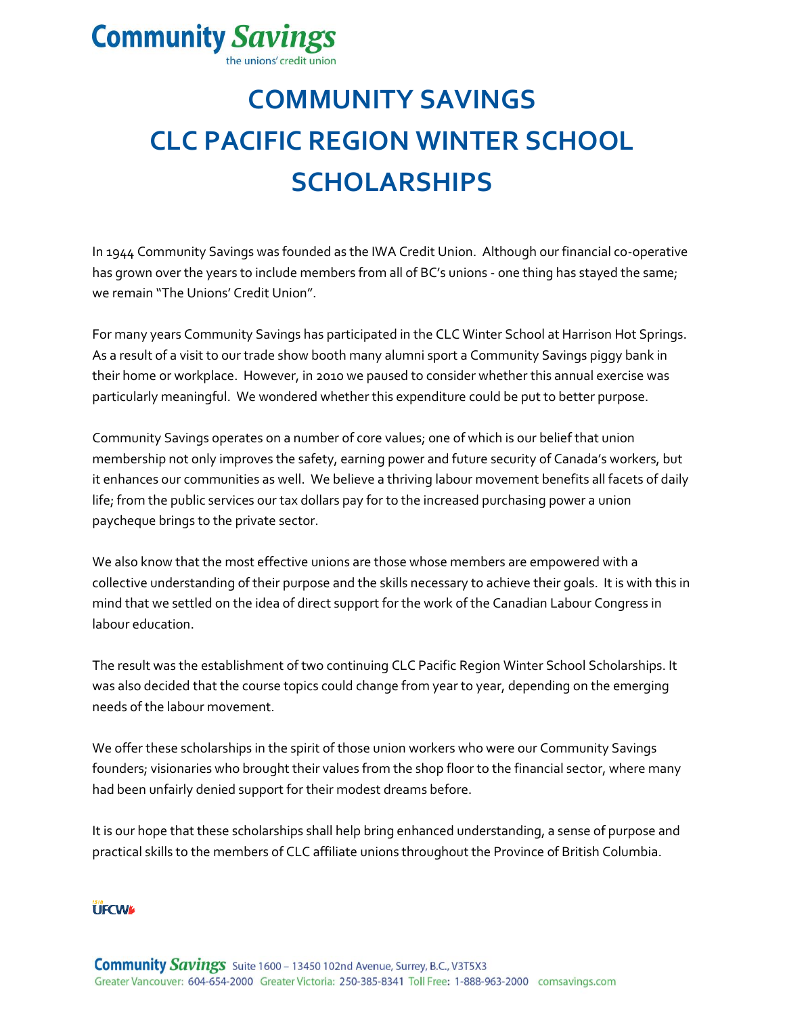# **Community Savings**

the unions' credit union

# **COMMUNITY SAVINGS CLC PACIFIC REGION WINTER SCHOOL SCHOLARSHIPS**

In 1944 Community Savings was founded as the IWA Credit Union. Although our financial co-operative has grown over the years to include members from all of BC's unions - one thing has stayed the same; we remain "The Unions' Credit Union".

For many years Community Savings has participated in the CLC Winter School at Harrison Hot Springs. As a result of a visit to our trade show booth many alumni sport a Community Savings piggy bank in their home or workplace. However, in 2010 we paused to consider whether this annual exercise was particularly meaningful. We wondered whether this expenditure could be put to better purpose.

Community Savings operates on a number of core values; one of which is our belief that union membership not only improves the safety, earning power and future security of Canada's workers, but it enhances our communities as well. We believe a thriving labour movement benefits all facets of daily life; from the public services our tax dollars pay for to the increased purchasing power a union paycheque brings to the private sector.

We also know that the most effective unions are those whose members are empowered with a collective understanding of their purpose and the skills necessary to achieve their goals. It is with this in mind that we settled on the idea of direct support for the work of the Canadian Labour Congress in labour education.

The result was the establishment of two continuing CLC Pacific Region Winter School Scholarships. It was also decided that the course topics could change from year to year, depending on the emerging needs of the labour movement.

We offer these scholarships in the spirit of those union workers who were our Community Savings founders; visionaries who brought their values from the shop floor to the financial sector, where many had been unfairly denied support for their modest dreams before.

It is our hope that these scholarships shall help bring enhanced understanding, a sense of purpose and practical skills to the members of CLC affiliate unions throughout the Province of British Columbia.

### **UFCWL**